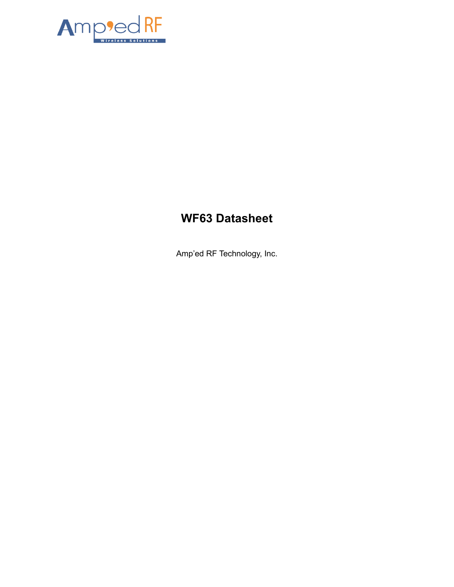

# **WF63 Datasheet**

Amp'ed RF Technology, Inc.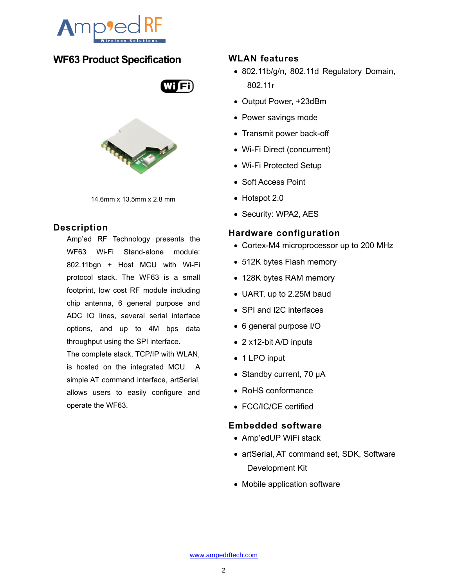

# **WF63 Product Specification**



14.6mm x 13.5mm x 2.8 mm

# **Description**

Amp'ed RF Technology presents the WF63 Wi-Fi Stand-alone module: 802.11bgn + Host MCU with Wi-Fi protocol stack. The WF63 is a small footprint, low cost RF module including chip antenna, 6 general purpose and ADC IO lines, several serial interface options, and up to 4M bps data throughput using the SPI interface.

The complete stack, TCP/IP with WLAN, is hosted on the integrated MCU. A simple AT command interface, artSerial, allows users to easily configure and operate the WF63.

#### **WLAN features**

- 802.11b/g/n, 802.11d Regulatory Domain, 802.11r
- Output Power, +23dBm
- Power savings mode
- Transmit power back-off
- Wi-Fi Direct (concurrent)
- Wi-Fi Protected Setup
- Soft Access Point
- Hotspot 2.0
- Security: WPA2, AES

#### **Hardware configuration**

- Cortex-M4 microprocessor up to 200 MHz
- 512K bytes Flash memory
- 128K bytes RAM memory
- UART, up to 2.25M baud
- SPI and I2C interfaces
- 6 general purpose I/O
- 2 x12-bit A/D inputs
- 1 LPO input
- Standby current, 70 μA
- RoHS conformance
- FCC/IC/CE certified

#### **Embedded software**

- Amp'edUP WiFi stack
- artSerial, AT command set, SDK, Software Development Kit
- Mobile application software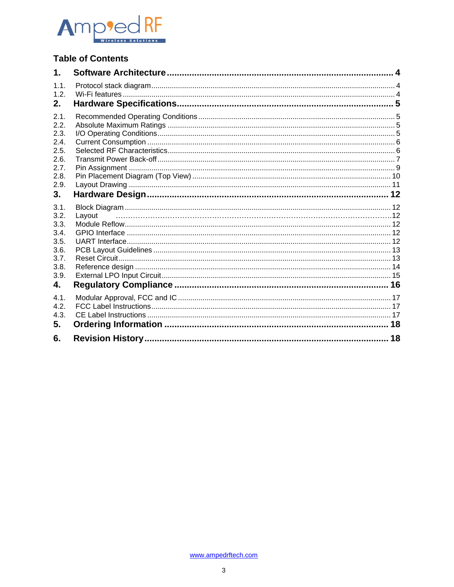

# **Table of Contents**

| 1.1.<br>1.2.<br>2.<br>2.1.<br>2.2.<br>2.3.<br>2.4.<br>2.5.<br>2.6.<br>2.7.<br>2.8.<br>2.9.<br>3.<br>3.1.<br>3.2.<br>Layout<br>3.3.<br>3.4.<br>3.5.<br>3.6.<br>3.7.<br>3.8.<br>3.9.<br>4.<br>4.1.<br>4.2.<br>4.3.<br>5.<br>6.<br>18 | $\mathbf 1$ . |  |
|------------------------------------------------------------------------------------------------------------------------------------------------------------------------------------------------------------------------------------|---------------|--|
|                                                                                                                                                                                                                                    |               |  |
|                                                                                                                                                                                                                                    |               |  |
|                                                                                                                                                                                                                                    |               |  |
|                                                                                                                                                                                                                                    |               |  |
|                                                                                                                                                                                                                                    |               |  |
|                                                                                                                                                                                                                                    |               |  |
|                                                                                                                                                                                                                                    |               |  |
|                                                                                                                                                                                                                                    |               |  |
|                                                                                                                                                                                                                                    |               |  |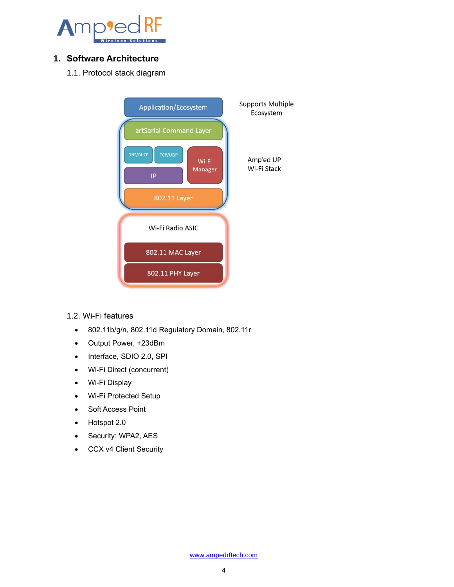

# <span id="page-3-1"></span><span id="page-3-0"></span>**1. Software Architecture**

1.1. Protocol stack diagram



#### <span id="page-3-2"></span>1.2. Wi-Fi features

- 802.11b/g/n, 802.11d Regulatory Domain, 802.11r
- Output Power, +23dBm
- Interface, SDIO 2.0, SPI
- Wi-Fi Direct (concurrent)
- Wi-Fi Display
- Wi-Fi Protected Setup
- Soft Access Point
- Hotspot 2.0
- Security: WPA2, AES
- CCX v4 Client Security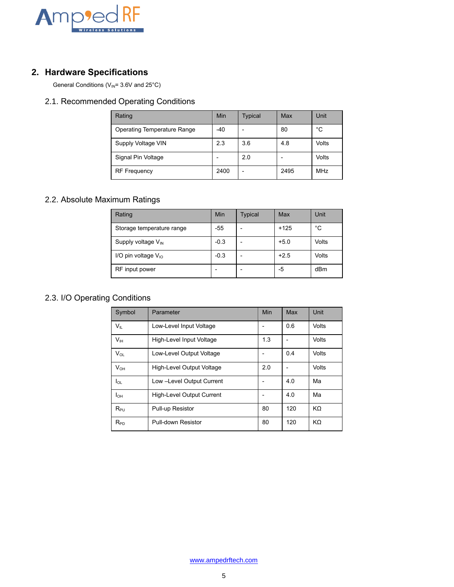

# <span id="page-4-0"></span>**2. Hardware Specifications**

General Conditions ( $V_{\text{IN}}$ = 3.6V and 25°C)

# <span id="page-4-1"></span>2.1. Recommended Operating Conditions

| Rating                             | Min  | <b>Typical</b> | Max  | Unit  |
|------------------------------------|------|----------------|------|-------|
| <b>Operating Temperature Range</b> | -40  |                | 80   | °C    |
| Supply Voltage VIN                 | 2.3  | 3.6            | 4.8  | Volts |
| Signal Pin Voltage                 |      | 2.0            |      | Volts |
| <b>RF Frequency</b>                | 2400 | $\overline{ }$ | 2495 | MHz   |

#### <span id="page-4-2"></span>2.2. Absolute Maximum Ratings

| Rating                         | Min    | <b>Typical</b> | Max    | Unit  |
|--------------------------------|--------|----------------|--------|-------|
| Storage temperature range      | $-55$  |                | $+125$ | °C    |
| Supply voltage $V_{\text{IN}}$ | $-0.3$ |                | $+5.0$ | Volts |
| I/O pin voltage $V_{10}$       | $-0.3$ |                | $+2.5$ | Volts |
| RF input power                 |        |                | -5     | dBm   |

# <span id="page-4-3"></span>2.3. I/O Operating Conditions

| Symbol          | Parameter                 | Min | Max | Unit  |
|-----------------|---------------------------|-----|-----|-------|
| $V_{\parallel}$ | Low-Level Input Voltage   |     | 0.6 | Volts |
| V <sub>IH</sub> | High-Level Input Voltage  | 1.3 |     | Volts |
| $V_{OL}$        | Low-Level Output Voltage  |     | 0.4 | Volts |
| $V_{OH}$        | High-Level Output Voltage | 2.0 |     | Volts |
| $I_{OL}$        | Low -Level Output Current |     | 4.0 | Ma    |
| $I_{OH}$        | High-Level Output Current |     | 4.0 | Ma    |
| $R_{PU}$        | Pull-up Resistor          | 80  | 120 | KΩ    |
| $R_{PD}$        | Pull-down Resistor        | 80  | 120 | KΩ    |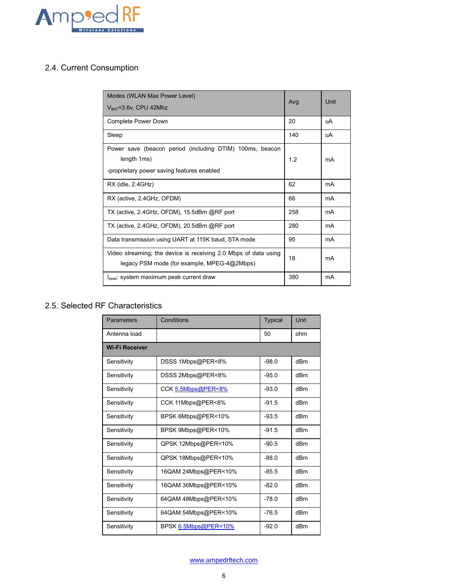

# <span id="page-5-0"></span>2.4. Current Consumption

| Modes (WLAN Max Power Level)                                                                                   | Avg | Unit |
|----------------------------------------------------------------------------------------------------------------|-----|------|
| $V_{BAT} = 3.6V$ , CPU 42Mhz                                                                                   |     |      |
| Complete Power Down                                                                                            | 20  | uA   |
| Sleep                                                                                                          | 140 | uA   |
| Power save (beacon period (including DTIM) 100ms, beacon                                                       |     |      |
| length 1ms)                                                                                                    | 1.2 | mA   |
| -proprietary power saving features enabled                                                                     |     |      |
| RX (idle, 2.4GHz)                                                                                              | 62  | mA   |
| RX (active, 2.4GHz, OFDM)                                                                                      | 66  | mA   |
| TX (active, 2.4GHz, OFDM), 15.5dBm @RF port                                                                    | 258 | mA   |
| TX (active, 2.4GHz, OFDM), 20.5dBm @RF port                                                                    | 280 | mA   |
| Data transmission using UART at 115K baud, STA mode                                                            | 95  | mA   |
| Video streaming; the device is receiving 2.0 Mbps of data using<br>legacy PSM mode (for example, MPEG-4@2Mbps) | 18  | mA   |
| $I_{\text{peak}}$ : system maximum peak current draw                                                           | 380 | mA   |

# <span id="page-5-1"></span>2.5. Selected RF Characteristics

| Parameters            | Conditions           | <b>Typical</b> | Unit |
|-----------------------|----------------------|----------------|------|
| Antenna load          |                      | 50             | ohm  |
| <b>Wi-Fi Receiver</b> |                      |                |      |
| Sensitivity           | DSSS 1Mbps@PER<8%    | $-98.0$        | dBm  |
| Sensitivity           | DSSS 2Mbps@PER<8%    | $-95.0$        | dBm  |
| Sensitivity           | CCK 5.5Mbps@PER<8%   | $-93.0$        | dBm  |
| Sensitivity           | CCK 11Mbps@PER<8%    | $-91.5$        | dBm  |
| Sensitivity           | BPSK 6Mbps@PER<10%   | $-93.5$        | dBm  |
| Sensitivity           | BPSK 9Mbps@PER<10%   | $-91.5$        | dBm  |
| Sensitivity           | QPSK 12Mbps@PER<10%  | $-90.5$        | dBm  |
| Sensitivity           | QPSK 18Mbps@PER<10%  | $-88.0$        | dBm  |
| Sensitivity           | 16QAM 24Mbps@PER<10% | $-85.5$        | dBm  |
| Sensitivity           | 16QAM 36Mbps@PER<10% | $-82.0$        | dBm  |
| Sensitivity           | 64QAM 48Mbps@PER<10% | $-78.0$        | dBm  |
| Sensitivity           | 64QAM 54Mbps@PER<10% | $-76.5$        | dBm  |
| Sensitivity           | BPSK 6.5Mbps@PER<10% | $-92.0$        | dBm  |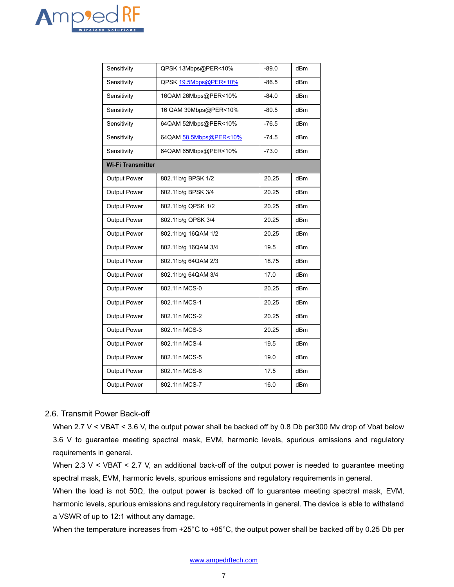

| Sensitivity              | QPSK 13Mbps@PER<10%    | $-89.0$ | dB <sub>m</sub> |
|--------------------------|------------------------|---------|-----------------|
| Sensitivity              | QPSK 19.5Mbps@PER<10%  | $-86.5$ | dB <sub>m</sub> |
| Sensitivity              | 16QAM 26Mbps@PER<10%   | $-84.0$ | dBm             |
| Sensitivity              | 16 QAM 39Mbps@PER<10%  | $-80.5$ | dBm             |
| Sensitivity              | 64QAM 52Mbps@PER<10%   | $-76.5$ | dB <sub>m</sub> |
| Sensitivity              | 64QAM 58.5Mbps@PER<10% | $-74.5$ | dBm             |
| Sensitivity              | 64QAM 65Mbps@PER<10%   | $-73.0$ | dBm             |
| <b>Wi-Fi Transmitter</b> |                        |         |                 |
| Output Power             | 802.11b/g BPSK 1/2     | 20.25   | dBm             |
| Output Power             | 802.11b/g BPSK 3/4     | 20.25   | dB <sub>m</sub> |
| Output Power             | 802.11b/g QPSK 1/2     | 20.25   | dB <sub>m</sub> |
| <b>Output Power</b>      | 802.11b/g QPSK 3/4     | 20.25   | dBm             |
| Output Power             | 802.11b/g 16QAM 1/2    | 20.25   | dBm             |
| Output Power             | 802.11b/g 16QAM 3/4    | 19.5    | dB <sub>m</sub> |
| Output Power             | 802.11b/g 64QAM 2/3    | 18.75   | dB <sub>m</sub> |
| Output Power             | 802.11b/g 64QAM 3/4    | 17.0    | dBm             |
| <b>Output Power</b>      | 802.11n MCS-0          | 20.25   | dB <sub>m</sub> |
| Output Power             | 802.11n MCS-1          | 20.25   | dBm             |
| Output Power             | 802.11n MCS-2          | 20.25   | dB <sub>m</sub> |
| Output Power             | 802.11n MCS-3          | 20.25   | dBm             |
| Output Power             | 802.11n MCS-4          | 19.5    | dBm             |
| Output Power             | 802.11n MCS-5          | 19.0    | dB <sub>m</sub> |
| Output Power             | 802.11n MCS-6          | 17.5    | dBm             |
| Output Power             | 802.11n MCS-7          | 16.0    | dB <sub>m</sub> |

#### <span id="page-6-0"></span>2.6. Transmit Power Back-off

When 2.7 V < VBAT < 3.6 V, the output power shall be backed off by 0.8 Db per300 Mv drop of Vbat below 3.6 V to guarantee meeting spectral mask, EVM, harmonic levels, spurious emissions and regulatory requirements in general.

When 2.3 V < VBAT < 2.7 V, an additional back-off of the output power is needed to guarantee meeting spectral mask, EVM, harmonic levels, spurious emissions and regulatory requirements in general.

When the load is not 50 $\Omega$ , the output power is backed off to guarantee meeting spectral mask, EVM, harmonic levels, spurious emissions and regulatory requirements in general. The device is able to withstand a VSWR of up to 12:1 without any damage.

When the temperature increases from +25°C to +85°C, the output power shall be backed off by 0.25 Db per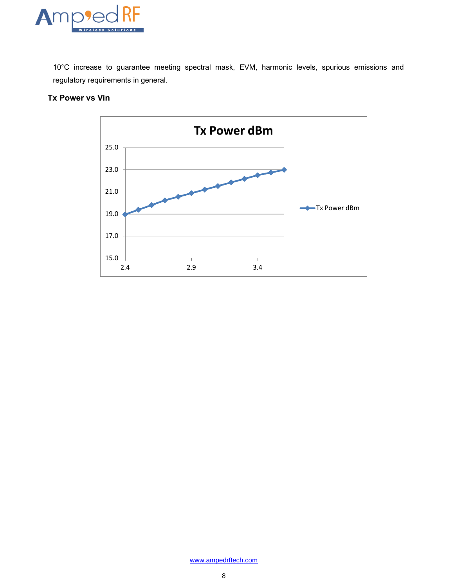

10°C increase to guarantee meeting spectral mask, EVM, harmonic levels, spurious emissions and regulatory requirements in general.



#### **Tx Power vs Vin**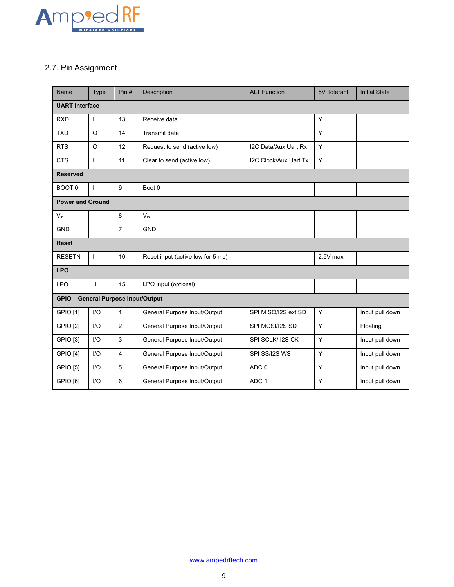

# <span id="page-8-0"></span>2.7. Pin Assignment

| Name                                | Type                  | Pin#                                                                     | Description                                           | <b>ALT Function</b>          | 5V Tolerant     | <b>Initial State</b> |  |
|-------------------------------------|-----------------------|--------------------------------------------------------------------------|-------------------------------------------------------|------------------------------|-----------------|----------------------|--|
|                                     | <b>UART Interface</b> |                                                                          |                                                       |                              |                 |                      |  |
| <b>RXD</b>                          | ı                     | 13                                                                       | Receive data                                          |                              | Y               |                      |  |
| <b>TXD</b>                          | $\Omega$              | 14                                                                       | Transmit data                                         |                              | Y               |                      |  |
| <b>RTS</b>                          | $\circ$               | 12                                                                       | Request to send (active low)                          | I2C Data/Aux Uart Rx         | Y               |                      |  |
| <b>CTS</b>                          | $\mathbf{I}$          | 11                                                                       | Clear to send (active low)                            | <b>I2C Clock/Aux Uart Tx</b> | Υ               |                      |  |
| <b>Reserved</b>                     |                       |                                                                          |                                                       |                              |                 |                      |  |
| BOOT <sub>0</sub>                   | ı                     | 9                                                                        | Boot 0                                                |                              |                 |                      |  |
| <b>Power and Ground</b>             |                       |                                                                          |                                                       |                              |                 |                      |  |
| $V_{in}$                            |                       | 8                                                                        | $V_{in}$                                              |                              |                 |                      |  |
| <b>GND</b>                          |                       | $\overline{7}$                                                           | <b>GND</b>                                            |                              |                 |                      |  |
| <b>Reset</b>                        |                       |                                                                          |                                                       |                              |                 |                      |  |
| <b>RESETN</b>                       | $\mathbf{I}$          | 10                                                                       | $2.5V$ max<br>Reset input (active low for 5 ms)       |                              |                 |                      |  |
| <b>LPO</b>                          |                       |                                                                          |                                                       |                              |                 |                      |  |
| <b>LPO</b>                          | T                     | 15                                                                       | LPO input (optional)                                  |                              |                 |                      |  |
| GPIO - General Purpose Input/Output |                       |                                                                          |                                                       |                              |                 |                      |  |
| <b>GPIO [1]</b>                     | I/O                   | $\mathbf{1}$<br>Υ<br>General Purpose Input/Output<br>SPI MISO/I2S ext SD |                                                       | Input pull down              |                 |                      |  |
| <b>GPIO [2]</b>                     | UQ                    | $\overline{2}$                                                           | General Purpose Input/Output<br>Y<br>SPI MOSI/I2S SD  |                              | Floating        |                      |  |
| <b>GPIO [3]</b>                     | I/O                   | 3                                                                        | General Purpose Input/Output<br>SPI SCLK/ I2S CK<br>Y |                              |                 | Input pull down      |  |
| <b>GPIO [4]</b>                     | I/O                   | $\overline{4}$                                                           | Υ<br>General Purpose Input/Output<br>SPI SS/I2S WS    |                              | Input pull down |                      |  |
| <b>GPIO [5]</b>                     | I/O                   | 5                                                                        | General Purpose Input/Output<br>ADC <sub>0</sub><br>Y |                              | Input pull down |                      |  |
| GPIO [6]                            | I/O                   | 6                                                                        | General Purpose Input/Output<br>ADC <sub>1</sub><br>Y |                              |                 | Input pull down      |  |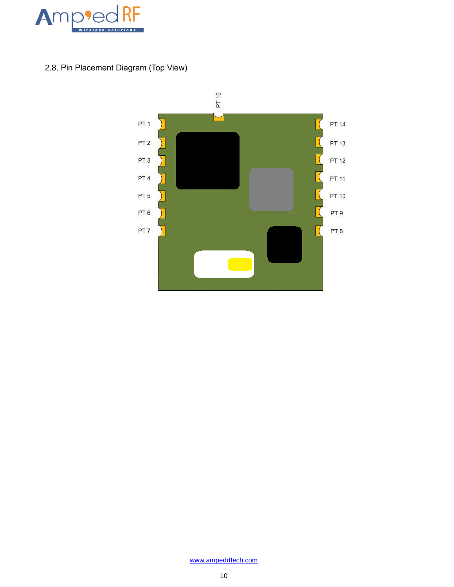<span id="page-9-0"></span>

2.8. Pin Placement Diagram (Top View)

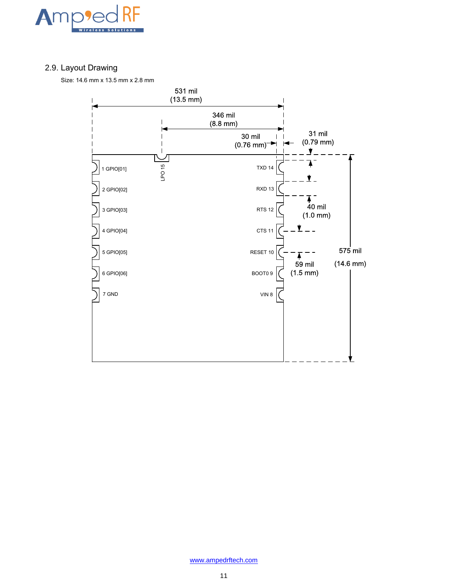

# <span id="page-10-0"></span>2.9. Layout Drawing

Size: 14.6 mm x 13.5 mm x 2.8 mm

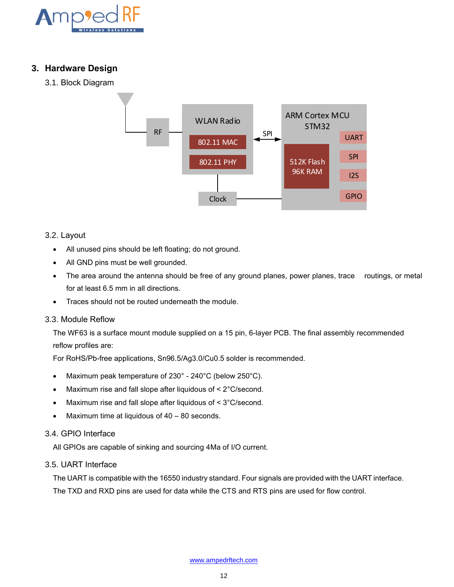

## <span id="page-11-0"></span>**3. Hardware Design**

<span id="page-11-1"></span>3.1. Block Diagram



#### <span id="page-11-2"></span>3.2. Layout

- All unused pins should be left floating; do not ground.
- All GND pins must be well grounded.
- The area around the antenna should be free of any ground planes, power planes, trace routings, or metal for at least 6.5 mm in all directions.
- Traces should not be routed underneath the module.

#### <span id="page-11-3"></span>3.3. Module Reflow

The WF63 is a surface mount module supplied on a 15 pin, 6-layer PCB. The final assembly recommended reflow profiles are:

For RoHS/Pb-free applications, Sn96.5/Ag3.0/Cu0.5 solder is recommended.

- Maximum peak temperature of 230° 240°C (below 250°C).
- Maximum rise and fall slope after liquidous of < 2°C/second.
- Maximum rise and fall slope after liquidous of < 3°C/second.
- Maximum time at liquidous of  $40 80$  seconds.

#### <span id="page-11-4"></span>3.4. GPIO Interface

All GPIOs are capable of sinking and sourcing 4Ma of I/O current.

#### <span id="page-11-5"></span>3.5. UART Interface

The UART is compatible with the 16550 industry standard. Four signals are provided with the UART interface. The TXD and RXD pins are used for data while the CTS and RTS pins are used for flow control.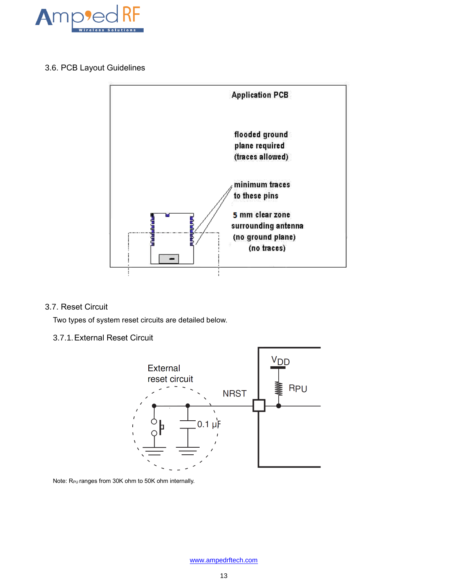

### <span id="page-12-0"></span>3.6. PCB Layout Guidelines



#### <span id="page-12-1"></span>3.7. Reset Circuit

Two types of system reset circuits are detailed below.

#### 3.7.1.External Reset Circuit



Note:  $R_{PU}$  ranges from 30K ohm to 50K ohm internally.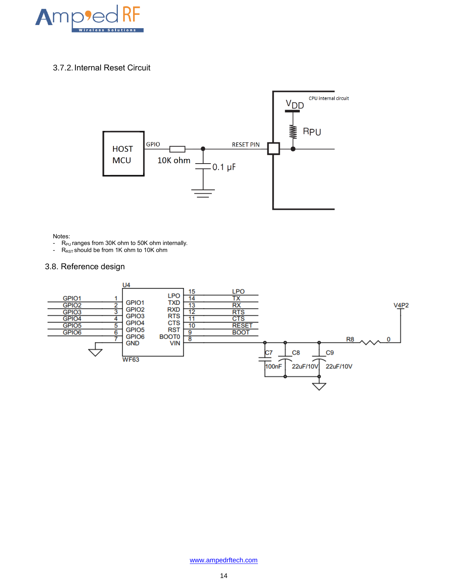

#### 3.7.2.Internal Reset Circuit



#### Notes:

- $R_{PU}$  ranges from 30K ohm to 50K ohm internally.
- $R_{RST}$  should be from 1K ohm to 10K ohm

#### <span id="page-13-0"></span>3.8. Reference design

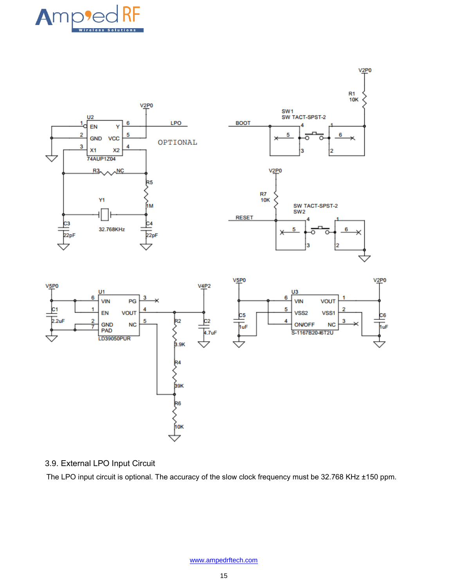



# <span id="page-14-0"></span>3.9. External LPO Input Circuit

The LPO input circuit is optional. The accuracy of the slow clock frequency must be 32.768 KHz ±150 ppm.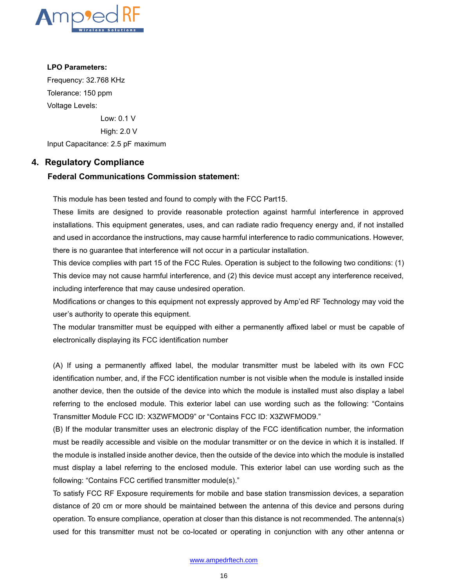

#### **LPO Parameters:**

Frequency: 32.768 KHz Tolerance: 150 ppm Voltage Levels:

Low: 0.1 V

High: 2.0 V

Input Capacitance: 2.5 pF maximum

#### <span id="page-15-0"></span>**4. Regulatory Compliance**

#### **Federal Communications Commission statement:**

This module has been tested and found to comply with the FCC Part15.

These limits are designed to provide reasonable protection against harmful interference in approved installations. This equipment generates, uses, and can radiate radio frequency energy and, if not installed and used in accordance the instructions, may cause harmful interference to radio communications. However, there is no guarantee that interference will not occur in a particular installation.

This device complies with part 15 of the FCC Rules. Operation is subject to the following two conditions: (1) This device may not cause harmful interference, and (2) this device must accept any interference received, including interference that may cause undesired operation.

Modifications or changes to this equipment not expressly approved by Amp'ed RF Technology may void the user's authority to operate this equipment.

The modular transmitter must be equipped with either a permanently affixed label or must be capable of electronically displaying its FCC identification number

(A) If using a permanently affixed label, the modular transmitter must be labeled with its own FCC identification number, and, if the FCC identification number is not visible when the module is installed inside another device, then the outside of the device into which the module is installed must also display a label referring to the enclosed module. This exterior label can use wording such as the following: "Contains Transmitter Module FCC ID: X3ZWFMOD9" or "Contains FCC ID: X3ZWFMOD9."

(B) If the modular transmitter uses an electronic display of the FCC identification number, the information must be readily accessible and visible on the modular transmitter or on the device in which it is installed. If the module is installed inside another device, then the outside of the device into which the module is installed must display a label referring to the enclosed module. This exterior label can use wording such as the following: "Contains FCC certified transmitter module(s)."

To satisfy FCC RF Exposure requirements for mobile and base station transmission devices, a separation distance of 20 cm or more should be maintained between the antenna of this device and persons during operation. To ensure compliance, operation at closer than this distance is not recommended. The antenna(s) used for this transmitter must not be co-located or operating in conjunction with any other antenna or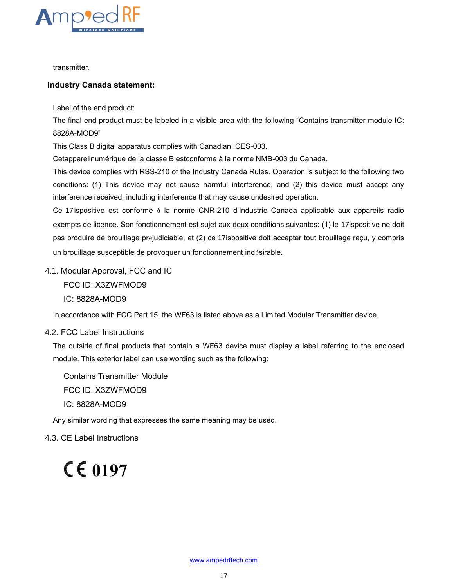

transmitter.

#### **Industry Canada statement:**

Label of the end product:

The final end product must be labeled in a visible area with the following "Contains transmitter module IC: 8828A-MOD9"

This Class B digital apparatus complies with Canadian ICES-003.

Cetappareilnumérique de la classe B estconforme à la norme NMB-003 du Canada.

This device complies with RSS-210 of the Industry Canada Rules. Operation is subject to the following two conditions: (1) This device may not cause harmful interference, and (2) this device must accept any interference received, including interference that may cause undesired operation.

Ce 17 ispositive est conforme à la norme CNR-210 d'Industrie Canada applicable aux appareils radio exempts de licence. Son fonctionnement est sujet aux deux conditions suivantes: (1) le 17ispositive ne doit pas produire de brouillage préjudiciable, et (2) ce 17ispositive doit accepter tout brouillage reçu, y compris un brouillage susceptible de provoquer un fonctionnement indésirable.

#### <span id="page-16-0"></span>4.1. Modular Approval, FCC and IC

FCC ID: X3ZWFMOD9

IC: 8828A-MOD9

In accordance with FCC Part 15, the WF63 is listed above as a Limited Modular Transmitter device.

#### <span id="page-16-1"></span>4.2. FCC Label Instructions

The outside of final products that contain a WF63 device must display a label referring to the enclosed module. This exterior label can use wording such as the following:

Contains Transmitter Module FCC ID: X3ZWFMOD9 IC: 8828A-MOD9

Any similar wording that expresses the same meaning may be used.

<span id="page-16-2"></span>4.3. CE Label Instructions

# <span id="page-16-3"></span>**0197**